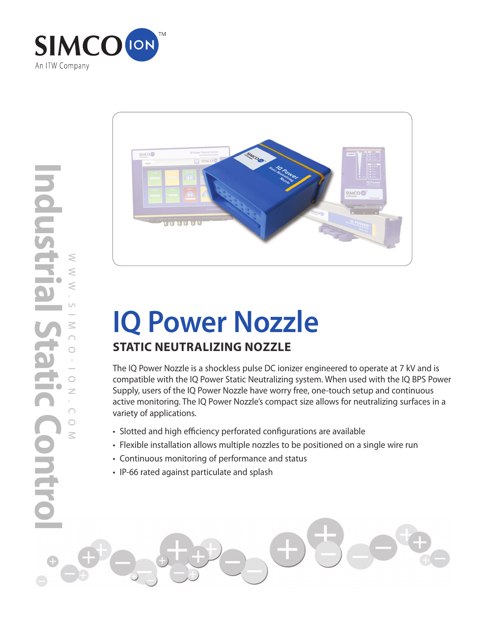



## **IQ Power Nozzle STATIC NEUTRALIZING NOZZLE**

The IQ Power Nozzle is a shockless pulse DC ionizer engineered to operate at 7 kV and is compatible with the IQ Power Static Neutralizing system. When used with the IQ BPS Power Supply, users of the IQ Power Nozzle have worry free, one-touch setup and continuous active monitoring. The IQ Power Nozzle's compact size allows for neutralizing surfaces in a variety of applications.

- Slotted and high efficiency perforated configurations are available
- Flexible installation allows multiple nozzles to be positioned on a single wire run
- Continuous monitoring of performance and status
- IP-66 rated against particulate and splash